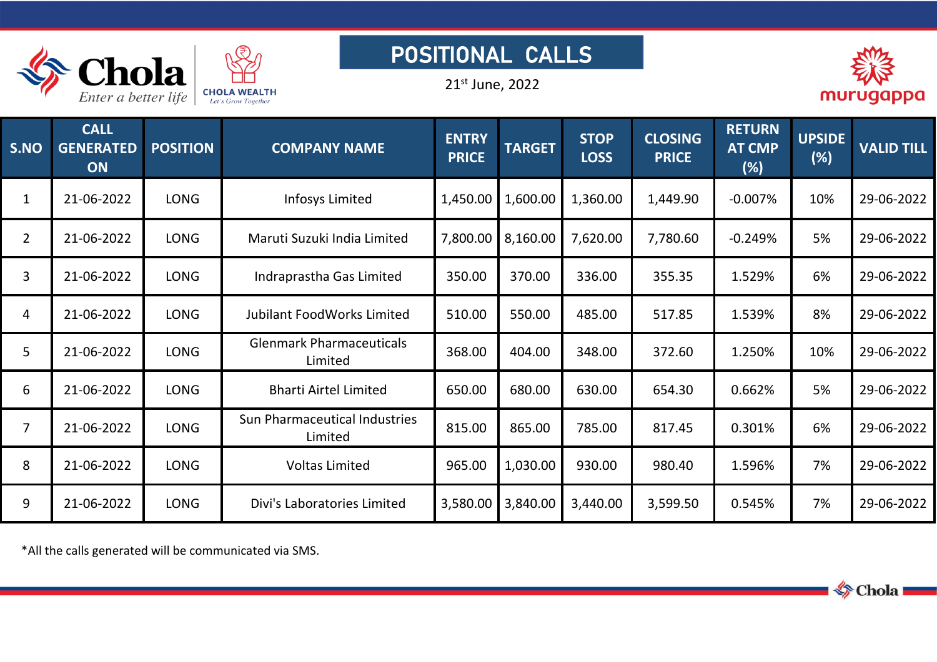

## POSITIONAL CALLS

21 st June, 2022



| S.NO           | <b>CALL</b><br><b>GENERATED</b><br>ON | <b>POSITION</b> | <b>COMPANY NAME</b>                        | <b>ENTRY</b><br><b>PRICE</b> | <b>TARGET</b>       | <b>STOP</b><br><b>LOSS</b> | <b>CLOSING</b><br><b>PRICE</b> | <b>RETURN</b><br><b>AT CMP</b><br>(%) | <b>UPSIDE</b><br>(%) | <b>VALID TILL</b> |
|----------------|---------------------------------------|-----------------|--------------------------------------------|------------------------------|---------------------|----------------------------|--------------------------------|---------------------------------------|----------------------|-------------------|
| $\mathbf{1}$   | 21-06-2022                            | <b>LONG</b>     | Infosys Limited                            | 1,450.00                     | 1,600.00            | 1,360.00                   | 1,449.90                       | $-0.007%$                             | 10%                  | 29-06-2022        |
| $\overline{2}$ | 21-06-2022                            | LONG            | Maruti Suzuki India Limited                |                              | 7,800.00   8,160.00 | 7,620.00                   | 7,780.60                       | $-0.249%$                             | 5%                   | 29-06-2022        |
| $\overline{3}$ | 21-06-2022                            | LONG            | Indraprastha Gas Limited                   | 350.00                       | 370.00              | 336.00                     | 355.35                         | 1.529%                                | 6%                   | 29-06-2022        |
| 4              | 21-06-2022                            | LONG            | <b>Jubilant FoodWorks Limited</b>          | 510.00                       | 550.00              | 485.00                     | 517.85                         | 1.539%                                | 8%                   | 29-06-2022        |
| 5              | 21-06-2022                            | LONG            | <b>Glenmark Pharmaceuticals</b><br>Limited | 368.00                       | 404.00              | 348.00                     | 372.60                         | 1.250%                                | 10%                  | 29-06-2022        |
| 6              | 21-06-2022                            | <b>LONG</b>     | <b>Bharti Airtel Limited</b>               | 650.00                       | 680.00              | 630.00                     | 654.30                         | 0.662%                                | 5%                   | 29-06-2022        |
| $\overline{7}$ | 21-06-2022                            | LONG            | Sun Pharmaceutical Industries<br>Limited   | 815.00                       | 865.00              | 785.00                     | 817.45                         | 0.301%                                | 6%                   | 29-06-2022        |
| 8              | 21-06-2022                            | <b>LONG</b>     | <b>Voltas Limited</b>                      | 965.00                       | 1,030.00            | 930.00                     | 980.40                         | 1.596%                                | 7%                   | 29-06-2022        |
| 9              | 21-06-2022                            | LONG            | Divi's Laboratories Limited                | 3,580.00                     | 3,840.00            | 3,440.00                   | 3,599.50                       | 0.545%                                | 7%                   | 29-06-2022        |

\*All the calls generated will be communicated via SMS.